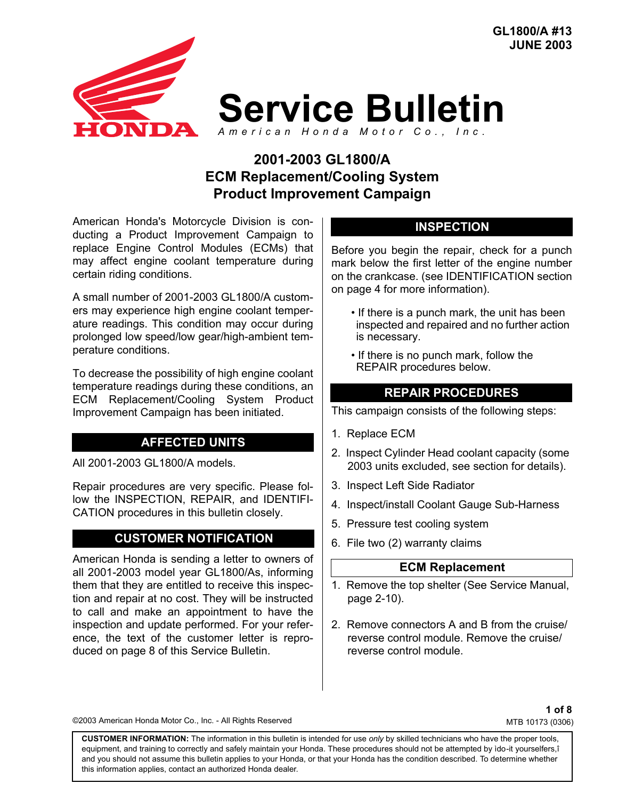

# **2001-2003 GL1800/A ECM Replacement/Cooling System Product Improvement Campaign**

American Honda's Motorcycle Division is conducting a Product Improvement Campaign to replace Engine Control Modules (ECMs) that may affect engine coolant temperature during certain riding conditions.

A small number of 2001-2003 GL1800/A customers may experience high engine coolant temperature readings. This condition may occur during prolonged low speed/low gear/high-ambient temperature conditions.

To decrease the possibility of high engine coolant temperature readings during these conditions, an ECM Replacement/Cooling System Product Improvement Campaign has been initiated.

#### **AFFECTED UNITS**

All 2001-2003 GL1800/A models.

Repair procedures are very specific. Please follow the INSPECTION, REPAIR, and IDENTIFI-CATION procedures in this bulletin closely.

#### **CUSTOMER NOTIFICATION**

American Honda is sending a letter to owners of all 2001-2003 model year GL1800/As, informing them that they are entitled to receive this inspection and repair at no cost. They will be instructed to call and make an appointment to have the inspection and update performed. For your reference, the text of the customer letter is reproduced on page 8 of this Service Bulletin.

#### **INSPECTION**

Before you begin the repair, check for a punch mark below the first letter of the engine number on the crankcase. (see IDENTIFICATION section on page 4 for more information).

- If there is a punch mark, the unit has been inspected and repaired and no further action is necessary.
- If there is no punch mark, follow the REPAIR procedures below.

### **REPAIR PROCEDURES**

This campaign consists of the following steps:

- 1. Replace ECM
- 2. Inspect Cylinder Head coolant capacity (some 2003 units excluded, see section for details).
- 3. Inspect Left Side Radiator
- 4. Inspect/install Coolant Gauge Sub-Harness
- 5. Pressure test cooling system
- 6. File two (2) warranty claims

#### **ECM Replacement**

- 1. Remove the top shelter (See Service Manual, page 2-10).
- 2. Remove connectors A and B from the cruise/ reverse control module. Remove the cruise/ reverse control module.

©2003 American Honda Motor Co., Inc. - All Rights Reserved

**1 of 8** MTB 10173 (0306)

**CUSTOMER INFORMATION:** The information in this bulletin is intended for use *only* by skilled technicians who have the proper tools, equipment, and training to correctly and safely maintain your Honda. These procedures should not be attempted by ìdo-it yourselfers,î and you should not assume this bulletin applies to your Honda, or that your Honda has the condition described. To determine whether this information applies, contact an authorized Honda dealer.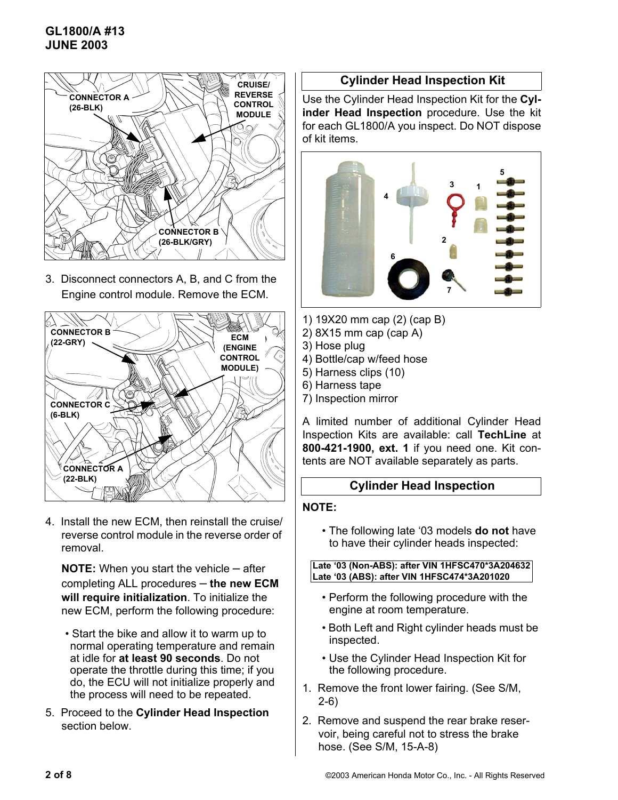## **GL1800/A #13 JUNE 2003**



3. Disconnect connectors A, B, and C from the Engine control module. Remove the ECM.



4. Install the new ECM, then reinstall the cruise/ reverse control module in the reverse order of removal.

**NOTE:** When you start the vehicle – after completing ALL procedures – **the new ECM will require initialization**. To initialize the new ECM, perform the following procedure:

- Start the bike and allow it to warm up to normal operating temperature and remain at idle for **at least 90 seconds**. Do not operate the throttle during this time; if you do, the ECU will not initialize properly and the process will need to be repeated.
- 5. Proceed to the **Cylinder Head Inspection** section below.

### **Cylinder Head Inspection Kit**

Use the Cylinder Head Inspection Kit for the **Cylinder Head Inspection** procedure. Use the kit for each GL1800/A you inspect. Do NOT dispose of kit items.



- 1) 19X20 mm cap (2) (cap B)
- 2) 8X15 mm cap (cap A)
- 3) Hose plug
- 4) Bottle/cap w/feed hose
- 5) Harness clips (10)
- 6) Harness tape
- 7) Inspection mirror

A limited number of additional Cylinder Head Inspection Kits are available: call **TechLine** at **800-421-1900, ext. 1** if you need one. Kit contents are NOT available separately as parts.

#### **Cylinder Head Inspection**

#### **NOTE:**

• The following late '03 models **do not** have to have their cylinder heads inspected:

#### **Late '03 (Non-ABS): after VIN 1HFSC470\*3A204632 Late '03 (ABS): after VIN 1HFSC474\*3A201020**

- Perform the following procedure with the engine at room temperature.
- Both Left and Right cylinder heads must be inspected.
- Use the Cylinder Head Inspection Kit for the following procedure.
- 1. Remove the front lower fairing. (See S/M, 2-6)
- 2. Remove and suspend the rear brake reservoir, being careful not to stress the brake hose. (See S/M, 15-A-8)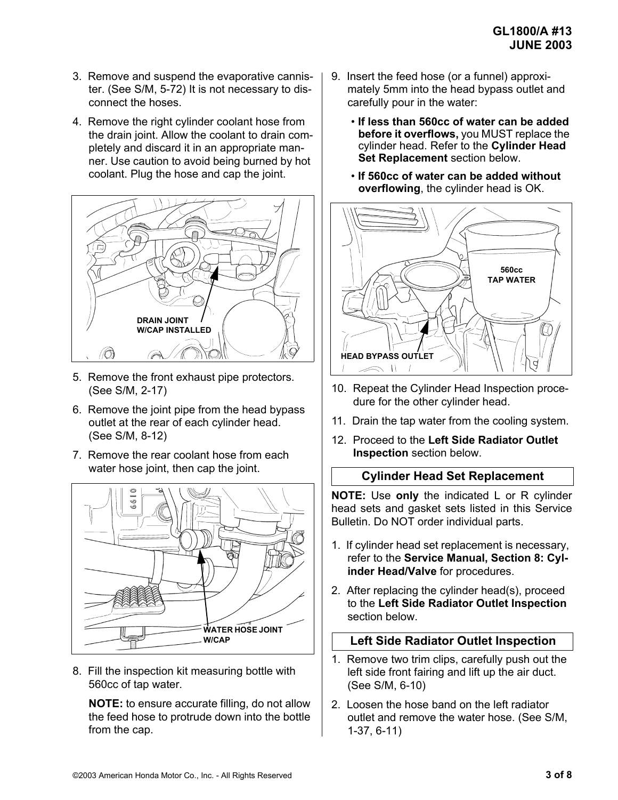- 3. Remove and suspend the evaporative cannister. (See S/M, 5-72) It is not necessary to disconnect the hoses.
- 4. Remove the right cylinder coolant hose from the drain joint. Allow the coolant to drain completely and discard it in an appropriate manner. Use caution to avoid being burned by hot coolant. Plug the hose and cap the joint.



- 5. Remove the front exhaust pipe protectors. (See S/M, 2-17)
- 6. Remove the joint pipe from the head bypass outlet at the rear of each cylinder head. (See S/M, 8-12)
- 7. Remove the rear coolant hose from each water hose joint, then cap the joint.



8. Fill the inspection kit measuring bottle with 560cc of tap water.

**NOTE:** to ensure accurate filling, do not allow the feed hose to protrude down into the bottle from the cap.

- 9. Insert the feed hose (or a funnel) approximately 5mm into the head bypass outlet and carefully pour in the water:
	- **If less than 560cc of water can be added before it overflows,** you MUST replace the cylinder head. Refer to the **Cylinder Head Set Replacement** section below.
	- **If 560cc of water can be added without overflowing**, the cylinder head is OK.



- 10. Repeat the Cylinder Head Inspection procedure for the other cylinder head.
- 11. Drain the tap water from the cooling system.
- 12. Proceed to the **Left Side Radiator Outlet Inspection** section below.

### **Cylinder Head Set Replacement**

**NOTE:** Use **only** the indicated L or R cylinder head sets and gasket sets listed in this Service Bulletin. Do NOT order individual parts.

- 1. If cylinder head set replacement is necessary, refer to the **Service Manual, Section 8: Cylinder Head/Valve** for procedures.
- 2. After replacing the cylinder head(s), proceed to the **Left Side Radiator Outlet Inspection** section below.

### **Left Side Radiator Outlet Inspection**

- 1. Remove two trim clips, carefully push out the left side front fairing and lift up the air duct. (See S/M, 6-10)
- 2. Loosen the hose band on the left radiator outlet and remove the water hose. (See S/M, 1-37, 6-11)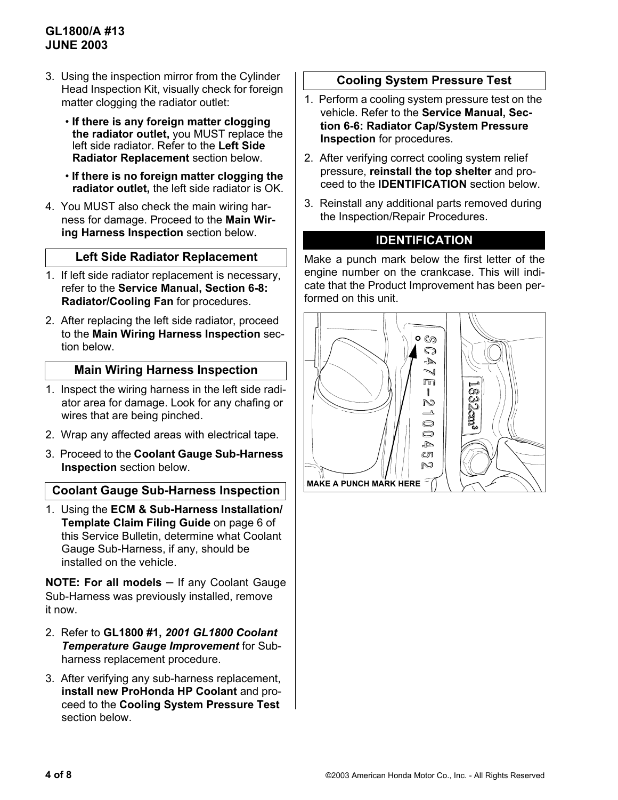## **GL1800/A #13 JUNE 2003**

- 3. Using the inspection mirror from the Cylinder Head Inspection Kit, visually check for foreign matter clogging the radiator outlet:
	- **If there is any foreign matter clogging the radiator outlet,** you MUST replace the left side radiator. Refer to the **Left Side Radiator Replacement** section below.
	- **If there is no foreign matter clogging the radiator outlet,** the left side radiator is OK.
- 4. You MUST also check the main wiring harness for damage. Proceed to the **Main Wiring Harness Inspection** section below.

### **Left Side Radiator Replacement**

- 1. If left side radiator replacement is necessary, refer to the **Service Manual, Section 6-8: Radiator/Cooling Fan** for procedures.
- 2. After replacing the left side radiator, proceed to the **Main Wiring Harness Inspection** section below.

#### **Main Wiring Harness Inspection**

- 1. Inspect the wiring harness in the left side radiator area for damage. Look for any chafing or wires that are being pinched.
- 2. Wrap any affected areas with electrical tape.
- 3. Proceed to the **Coolant Gauge Sub-Harness Inspection** section below.

### **Coolant Gauge Sub-Harness Inspection**

1. Using the **ECM & Sub-Harness Installation/ Template Claim Filing Guide** on page 6 of this Service Bulletin, determine what Coolant Gauge Sub-Harness, if any, should be installed on the vehicle.

**NOTE: For all models** – If any Coolant Gauge Sub-Harness was previously installed, remove it now.

- 2. Refer to **GL1800 #1,** *2001 GL1800 Coolant Temperature Gauge Improvement* for Subharness replacement procedure.
- 3. After verifying any sub-harness replacement, **install new ProHonda HP Coolant** and proceed to the **Cooling System Pressure Test**  section below.

#### **Cooling System Pressure Test**

- 1. Perform a cooling system pressure test on the vehicle. Refer to the **Service Manual, Section 6-6: Radiator Cap/System Pressure Inspection** for procedures.
- 2. After verifying correct cooling system relief pressure, **reinstall the top shelter** and proceed to the **IDENTIFICATION** section below.
- 3. Reinstall any additional parts removed during the Inspection/Repair Procedures.

#### **IDENTIFICATION**

Make a punch mark below the first letter of the engine number on the crankcase. This will indicate that the Product Improvement has been performed on this unit.

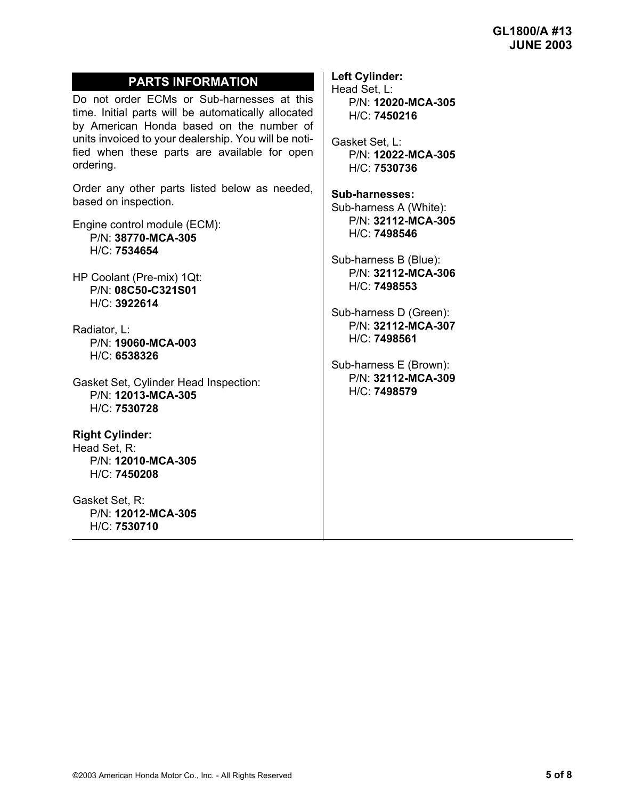### **PARTS INFORMATION**

Do not order ECMs or Sub-harnesses at this time. Initial parts will be automatically allocated by American Honda based on the number of units invoiced to your dealership. You will be notified when these parts are available for open ordering.

Order any other parts listed below as needed, based on inspection.

Engine control module (ECM): P/N: **38770-MCA-305** H/C: **7534654**

HP Coolant (Pre-mix) 1Qt: P/N: **08C50-C321S01** H/C: **3922614**

Radiator, L: P/N: **19060-MCA-003** H/C: **6538326**

Gasket Set, Cylinder Head Inspection: P/N: **12013-MCA-305** H/C: **7530728**

**Right Cylinder:** Head Set, R: P/N: **12010-MCA-305** H/C: **7450208**

Gasket Set, R: P/N: **12012-MCA-305** H/C: **7530710**

**Left Cylinder:** Head Set, L:

P/N: **12020-MCA-305** H/C: **7450216**

Gasket Set, L: P/N: **12022-MCA-305** H/C: **7530736**

**Sub-harnesses:** Sub-harness A (White): P/N: **32112-MCA-305** H/C: **7498546**

Sub-harness B (Blue): P/N: **32112-MCA-306** H/C: **7498553**

Sub-harness D (Green): P/N: **32112-MCA-307** H/C: **7498561**

Sub-harness E (Brown): P/N: **32112-MCA-309** H/C: **7498579**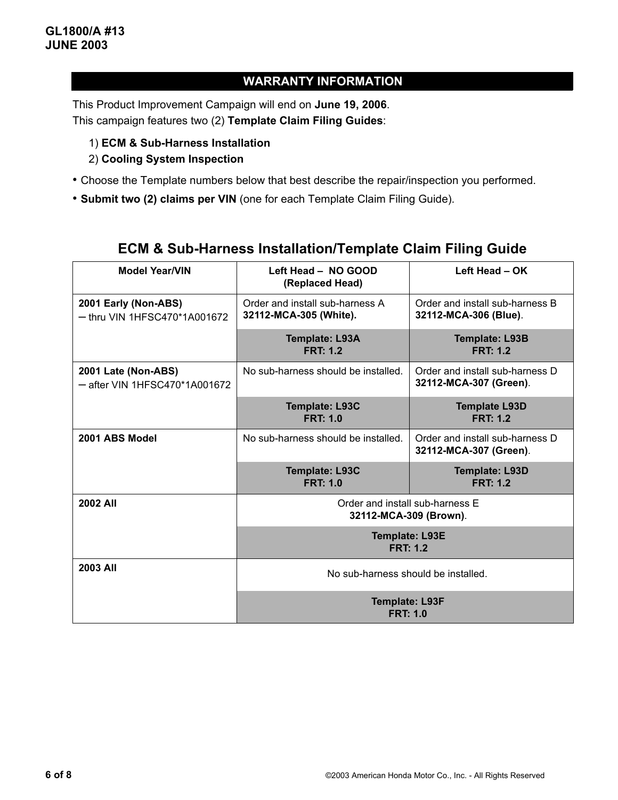# **WARRANTY INFORMATION**

This Product Improvement Campaign will end on **June 19, 2006**. This campaign features two (2) **Template Claim Filing Guides**:

- 1) **ECM & Sub-Harness Installation**
- 2) **Cooling System Inspection**
- Choose the Template numbers below that best describe the repair/inspection you performed.
- **Submit two (2) claims per VIN** (one for each Template Claim Filing Guide).

| <b>Model Year/VIN</b>                                  | Left Head - NO GOOD<br>(Replaced Head)                    | Left Head - OK                                            |  |  |  |
|--------------------------------------------------------|-----------------------------------------------------------|-----------------------------------------------------------|--|--|--|
| 2001 Early (Non-ABS)<br>$-$ thru VIN 1HFSC470*1A001672 | Order and install sub-harness A<br>32112-MCA-305 (White). | Order and install sub-harness B<br>32112-MCA-306 (Blue).  |  |  |  |
|                                                        | <b>Template: L93A</b><br><b>FRT: 1.2</b>                  | <b>Template: L93B</b><br><b>FRT: 1.2</b>                  |  |  |  |
| 2001 Late (Non-ABS)<br>- after VIN 1HFSC470*1A001672   | No sub-harness should be installed.                       | Order and install sub-harness D<br>32112-MCA-307 (Green). |  |  |  |
|                                                        | Template: L93C<br><b>FRT: 1.0</b>                         | <b>Template L93D</b><br><b>FRT: 1.2</b>                   |  |  |  |
| 2001 ABS Model                                         | No sub-harness should be installed.                       | Order and install sub-harness D<br>32112-MCA-307 (Green). |  |  |  |
|                                                        | <b>Template: L93C</b><br><b>FRT: 1.0</b>                  | <b>Template: L93D</b><br><b>FRT: 1.2</b>                  |  |  |  |
| 2002 All                                               | Order and install sub-harness E<br>32112-MCA-309 (Brown). |                                                           |  |  |  |
|                                                        | <b>Template: L93E</b><br><b>FRT: 1.2</b>                  |                                                           |  |  |  |
| 2003 All                                               | No sub-harness should be installed.                       |                                                           |  |  |  |
|                                                        | <b>Template: L93F</b><br><b>FRT: 1.0</b>                  |                                                           |  |  |  |

# **ECM & Sub-Harness Installation/Template Claim Filing Guide**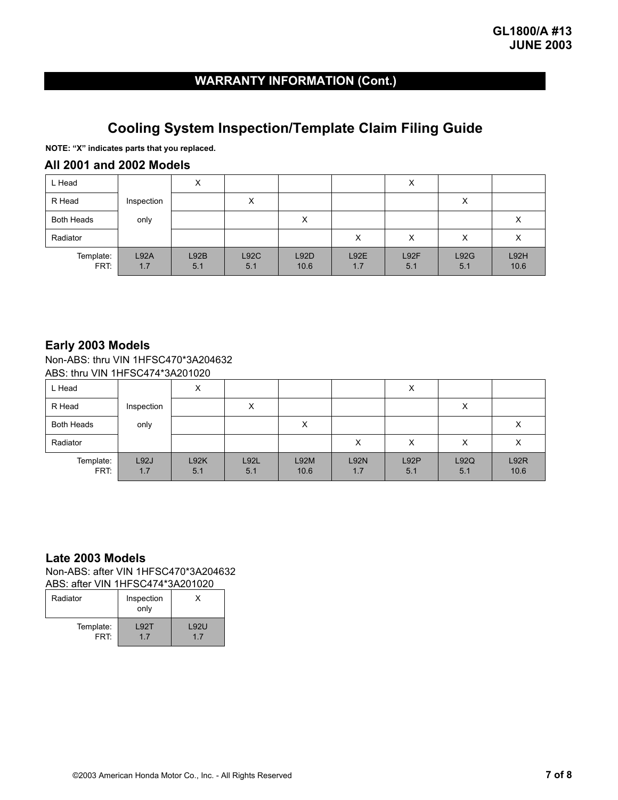# **WARRANTY INFORMATION (Cont.)**

# **Cooling System Inspection/Template Claim Filing Guide**

**NOTE: "X" indicates parts that you replaced.**

#### **All 2001 and 2002 Models**

| L Head            |             | $\checkmark$<br>⋏ |                    |                     |             | X                 |                   |                  |
|-------------------|-------------|-------------------|--------------------|---------------------|-------------|-------------------|-------------------|------------------|
| R Head            | Inspection  |                   | $\checkmark$<br>⌒  |                     |             |                   | $\checkmark$<br>⌒ |                  |
| <b>Both Heads</b> | only        |                   |                    | X                   |             |                   |                   | $\check{ }$<br>⋏ |
| Radiator          |             |                   |                    |                     | ⋏           | $\checkmark$<br>⌒ | $\checkmark$<br>⌒ |                  |
| Template:<br>FRT: | L92A<br>1.7 | L92B<br>5.1       | <b>L92C</b><br>5.1 | <b>L92D</b><br>10.6 | L92E<br>1.7 | L92F<br>5.1       | L92G<br>5.1       | L92H<br>10.6     |

#### **Early 2003 Models**

Non-ABS: thru VIN 1HFSC470\*3A204632 ABS: thru VIN 1HFSC474\*3A201020

| L Head            |             | $\checkmark$<br>ᄉ |                    |              |                    | х           |                   |              |
|-------------------|-------------|-------------------|--------------------|--------------|--------------------|-------------|-------------------|--------------|
| R Head            | Inspection  |                   | $\checkmark$<br>⌒  |              |                    |             | $\checkmark$<br>⋏ |              |
| <b>Both Heads</b> | only        |                   |                    | X            |                    |             |                   |              |
| Radiator          |             |                   |                    |              | X                  | x           | ⋏                 | ⋏            |
| Template:<br>FRT: | L92J<br>1.7 | L92K<br>5.1       | <b>L92L</b><br>5.1 | L92M<br>10.6 | <b>L92N</b><br>1.7 | L92P<br>5.1 | L92Q<br>5.1       | L92R<br>10.6 |

#### **Late 2003 Models**

Non-ABS: after VIN 1HFSC470\*3A204632 ABS: after VIN 1HFSC474\*3A201020

| , שוגי<br>$\mathbf{v}$ is the count of the control of $\mathbf{v}$ |                    |                   |  |  |  |
|--------------------------------------------------------------------|--------------------|-------------------|--|--|--|
| Radiator                                                           | Inspection<br>only |                   |  |  |  |
| Template:<br>FRT:                                                  | <b>L92T</b><br>17  | <b>L92U</b><br>17 |  |  |  |